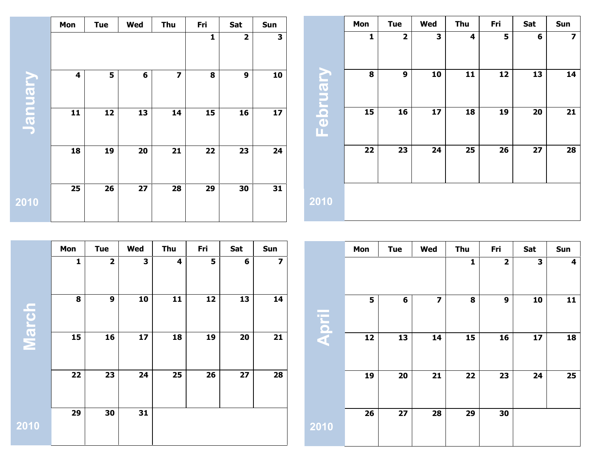|                          | Mon | <b>Tue</b> | Wed | Thu                     | Fri | Sat            | Sun |                | Mon | <b>Tue</b>              | Wed | Thu | Fri | Sat | Sun                     |
|--------------------------|-----|------------|-----|-------------------------|-----|----------------|-----|----------------|-----|-------------------------|-----|-----|-----|-----|-------------------------|
|                          |     |            |     |                         | 1   | $\overline{2}$ | 3   |                | 1   | $\overline{\mathbf{2}}$ | 3   | 4   | 5   | 6   | $\overline{\mathbf{z}}$ |
| <b><u>Aundric</u></b>    | 4   | 5          | 6   | $\overline{\mathbf{z}}$ | 8   | 9              | 10  | <u>Ghruary</u> | 8   | 9                       | 10  | 11  | 12  | 13  | 14                      |
| $\overline{\phantom{a}}$ | 11  | 12         | 13  | 14                      | 15  | 16             | 17  | T.             | 15  | 16                      | 17  | 18  | 19  | 20  | $21$                    |
|                          | 18  | 19         | 20  | 21                      | 22  | 23             | 24  |                | 22  | 23                      | 24  | 25  | 26  | 27  | 28                      |
| 2010                     | 25  | 26         | 27  | 28                      | 29  | 30             | 31  | 2010           |     |                         |     |     |     |     |                         |

|         | Mon          | <b>Tue</b>              | Wed | Thu | Fri | Sat | Sun                     |
|---------|--------------|-------------------------|-----|-----|-----|-----|-------------------------|
|         | $\mathbf{1}$ | $\overline{\mathbf{2}}$ | 3   | 4   | 5   | 6   | $\overline{\mathbf{z}}$ |
| Ů       | 8            | 9                       | 10  | 11  | 12  | 13  | 14                      |
| Mar     | 15           | 16                      | 17  | 18  | 19  | 20  | 21                      |
|         | 22           | 23                      | 24  | 25  | 26  | 27  | 28                      |
| $2$ 010 | 29           | 30                      | 31  |     |     |     |                         |

|       | Mon | <b>Tue</b> | Wed                     | Thu          | Fri                     | Sat | Sun |
|-------|-----|------------|-------------------------|--------------|-------------------------|-----|-----|
|       |     |            |                         | $\mathbf{1}$ | $\overline{\mathbf{2}}$ | 3   | 4   |
| April | 5   | 6          | $\overline{\mathbf{z}}$ | 8            | 9                       | 10  | 11  |
|       | 12  | 13         | 14                      | 15           | 16                      | 17  | 18  |
|       | 19  | 20         | 21                      | 22           | 23                      | 24  | 25  |
| 2010  | 26  | 27         | 28                      | 29           | 30                      |     |     |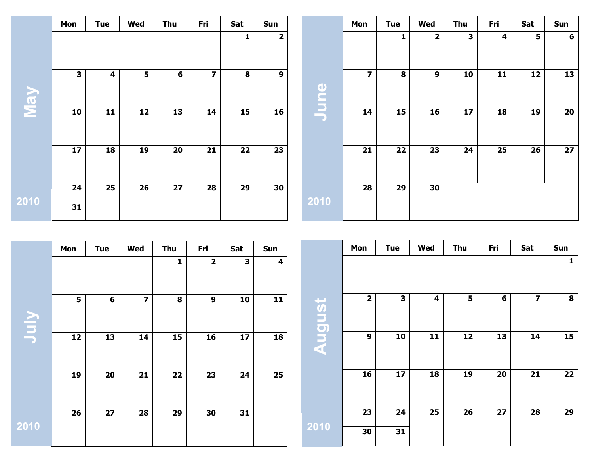|      | Mon          | <b>Tue</b> | Wed | Thu | Fri            | Sat          | Sun            |                         | Mon            | <b>Tue</b>   | Wed                     | Thu          | Fri | Sat | Sun            |
|------|--------------|------------|-----|-----|----------------|--------------|----------------|-------------------------|----------------|--------------|-------------------------|--------------|-----|-----|----------------|
|      |              |            |     |     |                | $\mathbf{1}$ | $\overline{2}$ |                         |                | $\mathbf{1}$ | $\overline{\mathbf{2}}$ | $\mathbf{3}$ | 4   | 5   | $6\phantom{1}$ |
| VeN  | $\mathbf{3}$ | 4          | 5   | 6   | $\overline{z}$ | 8            | 9              | $\bullet$<br><b>Jun</b> | $\overline{7}$ | 8            | 9                       | 10           | 11  | 12  | 13             |
|      | 10           | 11         | 12  | 13  | 14             | 15           | 16             |                         | 14             | 15           | 16                      | 17           | 18  | 19  | 20             |
|      | 17           | 18         | 19  | 20  | 21             | 22           | 23             |                         | 21             | 22           | 23                      | 24           | 25  | 26  | 27             |
|      | 24           | 25         | 26  | 27  | 28             | 29           | 30             | 2010                    | 28             | 29           | 30                      |              |     |     |                |
| 2010 | 31           |            |     |     |                |              |                |                         |                |              |                         |              |     |     |                |

|      | Mon | <b>Tue</b> | Wed                     | Thu          | Fri          | Sat | Sun |        | Mon          | <b>Tue</b>   | Wed | Thu | Fri | Sat                     | Sun          |
|------|-----|------------|-------------------------|--------------|--------------|-----|-----|--------|--------------|--------------|-----|-----|-----|-------------------------|--------------|
|      |     |            |                         | $\mathbf{1}$ | $\mathbf{2}$ | 3   | 4   |        |              |              |     |     |     |                         | $\mathbf{1}$ |
| VInc | 5   | 6          | $\overline{\mathbf{z}}$ | 8            | 9            | 10  | 11  | August | $\mathbf{2}$ | $\mathbf{3}$ | 4   | 5   | 6   | $\overline{\mathbf{z}}$ | 8            |
|      | 12  | 13         | 14                      | 15           | 16           | 17  | 18  |        | 9            | 10           | 11  | 12  | 13  | 14                      | 15           |
|      | 19  | 20         | 21                      | 22           | 23           | 24  | 25  |        | 16           | 17           | 18  | 19  | 20  | 21                      | $22$         |
|      | 26  | 27         | 28                      | 29           | 30           | 31  |     |        | 23           | 24           | 25  | 26  | 27  | 28                      | 29           |
| 2010 |     |            |                         |              |              |     |     | 2010   | 30           | 31           |     |     |     |                         |              |